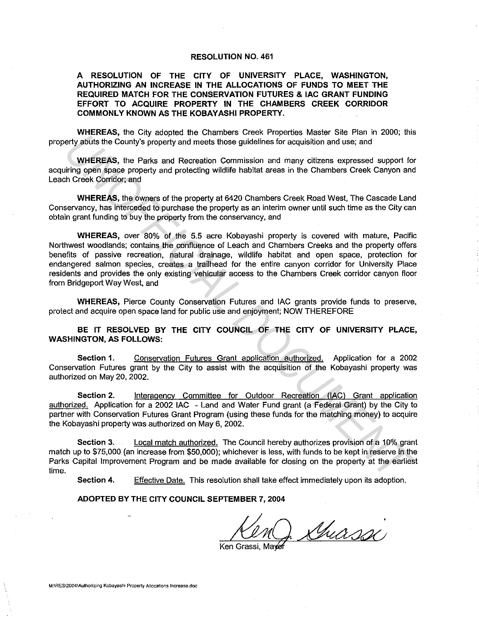## **RESOLUTION NO. 461**

## **A RESOLUTION OF THE CITY OF UNIVERSITY PLACE, WASHINGTON, AUTHORIZING AN INCREASE IN THE ALLOCATIONS OF FUNDS TO MEET THE REQUIRED MATCH FOR THE CONSERVATION FUTURES & IAC GRANT FUNDING EFFORT TO ACQUIRE PROPERTY IN THE CHAMBERS CREEK CORRIDOR COMMONLY KNOWN AS THE KOBAYASHI PROPERTY.**

**WHEREAS,** the City adopted the Chambers Creek Properties Master Sile Plan in 2000; this property abuts the County's property and meets those guidelines for acquisition and use; and

**WHEREAS,** the Parks and Recreation Commission and many citizens expressed support for acquiring open space property and protecting wildlife habitat areas in the Chambers Creek Canyon and Leach Creek Corridor; and

**WHEREAS,** the owners of the property at 6420 Chambers Creek Road West, The Cascade Land Conservancy, has interceded to purchase the property as an interim owner until such time as the City can obtain grant funding to buy the property from the conservancy, and

**WHEREAS,** over 80% of the 5.5 acre Kobayashi property is covered with mature, Pacific Northwest woodlands; contains the confluence of Leach and Chambers Creeks and the property offers benefits of passive recreation, natural drainage, wildlife habitat and open space, protection for endangered salmon species, creates a trailhead for the entire canyon corridor for University Place residents and provides the only existing vehicular access to the Chambers Creek corridor canyon floor from Bridgeport Way West, and **UNIFIREAS, the Park and Recreation Commission and many clitzens expressed support for the County's property and mosts those guidelines for acquisition and use; and<br>intrig open space property and protecting wildlife habita** 

**WHEREAS,** Pierce County Conservation Futures and IAC grants provide funds to preserve, protect and acquire open space land for public use and enjoyment; NOW THEREFORE

**BE IT RESOLVED BY THE CITY COUNCIL OF THE CITY OF UNIVERSITY PLACE, WASHINGTON, AS FOLLOWS:** 

Section 1. Conservation Futures Grant application authorized. Application for a 2002 Conservation Futures grant by the City to assist with the acquisition of the Kobayashi property was authorized on May 20, 2002.

Section 2. **Interagency Committee for Outdoor Recreation (IAC)** Grant application authorized. Application for a 2002 IAC - Land and Water Fund grant (a Federal Grant) by the City to partner with Conservation Futures Grant Program (using these funds for the matching money) to acquire the Kobayashi property was authorized on May 6, 2002.

**Section** 3. Local match authorized. The Council hereby authorizes provision of a 10% grant match up to \$75,000 (an increase from \$50,000); whichever is less, with funds to be kept in reserve in the Parks Capital Improvement Program and be made available for closing on the property at the earliest lime.

**Section 4.** Effective Date. This resolution shall take effect immediately upon its adoption.

**ADOPTED BY THE CITY COUNCIL SEPTEMBER 7, 2004** 

Guassi

Ken Grassi, Mave